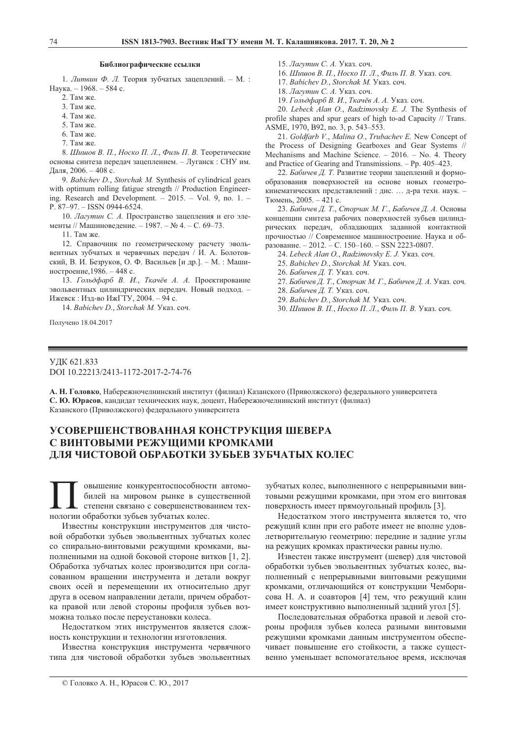## **Библиографические ссылки**

1. Литвин Ф. Л. Теория зубчатых зацеплений. - М. : Наука. - 1968. - 584 с.

- 2. Там же.
- $3.$  Там же.
- 4. Там же.
- 5. Там же.
- $6.$  Tam  $xe$
- 7. Там же.

8. Шишов В. П., Носко П. Л., Филь П. В. Теоретические основы синтеза передач зацеплением. - Луганск: СНУ им. Даля, 2006. - 408 с.

9. *Babichev D.*, *Storchak M.* Synthesis of cylindrical gears with optimum rolling fatigue strength // Production Engineering. Research and Development. – 2015. – Vol. 9, no. 1. – P. 87–97. – ISSN 0944-6524.

10. Лагутин С. А. Пространство зацепления и его элементы // Машиноведение. - 1987. - № 4. - С. 69-73.

11. Там же.

12. Справочник по геометрическому расчету эвольвентных зубчатых и червячных передач / И. А. Болотовский, В. И. Безруков, О. Ф. Васильев [и др.]. – М. : Машиностроение, 1986. – 448 с.

13. Гольдфарб В. И., Ткачёв А. А. Проектирование эвольвентных цилиндрических передач. Новый подход. -Ижевск : Изд-во ИжГТУ, 2004. – 94 с.

14. *Babichev D.*, *Storchak M.* Указ. соч.

Получено 18.04.2017

15. Лагутин С. А. Указ. соч.

16. Шишов В. П., Носко П. Л., Филь П. В. Указ. соч.

- 17. Babichev D., Storchak M. Ykas. coy.
- 18. Лагутин С. А. Указ. соч.

19. Гольдфарб В. И., Ткачёв А. А. Указ. соч.

20. *Lebeck Alan O.*, *Radzimovsky E. J.* The Synthesis of profile shapes and spur gears of high to-ad Capacity // Trans. ASME, 1970, B92, no. 3, p. 543–553.

21. *Goldfarb V.*, *Malina O.*, *Trubachev E.* New Concept of the Process of Designing Gearboxes and Gear Systems // Mechanisms and Machine Science. – 2016. – No. 4. Theory and Practice of Gearing and Transmissions. – Pp. 405–423.

22. *Бабичев Д. Т. Развитие теории зацеплений и формо*образования поверхностей на основе новых геометрокинематических представлений : дис. ... д-ра техн. наук. -Тюмень, 2005. – 421 с.

23. Бабичев Д. Т., Сторчак М. Г., Бабичев Д. А. Основы концепции синтеза рабочих поверхностей зубьев цилиндрических передач, обладающих заданной контактной прочностью // Современное машиностроение. Наука и об-. – 2012. – 
. 150–160. – SSN 2223-0807.

24. Lebeck Alan O., Radzimovsky E. J. Ykas. coy.

25. *Babichev D.*, *Storchak M. Ykas. coy.* 

26. *Бабичев Д. Т.* Указ. соч.

- 27. *Бабичев Д. Т., Сторчак М. Г., Бабичев Д. А.* Указ. соч.
- 28. *Бабичев Д. Т.* Указ. соч.
- 29. Babichev D., Storchak M. Ykas. coy.
- 30. Шишов В. П., Носко П. Л., Филь П. В. Указ. соч.

# УДК 621.833 DOI 10.22213/2413-1172-2017-2-74-76

А. Н. Головко, Набережночелнинский институт (филиал) Казанского (Приволжского) федерального университета С. Ю. Юрасов, кандидат технических наук, доцент, Набережночелнинский институт (филиал) Казанского (Приволжского) федерального университета

# **УСОВЕРШЕНСТВОВАННАЯ КОНСТРУКЦИЯ ШЕВЕРА** С ВИНТОВЫМИ РЕЖУШИМИ КРОМКАМИ **ЛЛЯ ЧИСТОВОЙ ОБРАБОТКИ ЗУБЬЕВ ЗУБЧАТЫХ КОЛЕС**

овышение конкурентоспособности автомобилей на мировом рынке в существенной степени связано с совершенствованием тех-**ПОС** овышение конкурентоспособност<br>билей на мировом рынке в суш<br>степени связано с совершенствова<br>нологии обработки зубьев зубчатых колес.

Известны конструкции инструментов для чистовой обработки зубьев эвольвентных зубчатых колес со спирально-винтовыми режущими кромками, выполненными на одной боковой стороне витков [1, 2]. Обработка зубчатых колес производится при согласованном вращении инструмента и детали вокруг своих осей и перемещении их относительно друг друга в осевом направлении детали, причем обработка правой или левой стороны профиля зубьев возможна только после переустановки колеса.

Недостатком этих инструментов является сложность конструкции и технологии изготовления.

Известна конструкция инструмента червячного типа для чистовой обработки зубьев эвольвентных зубчатых колес, выполненного с непрерывными винтовыми режущими кромками, при этом его винтовая поверхность имеет прямоугольный профиль [3].

Недостатком этого инструмента является то, что режущий клин при его работе имеет не вполне удовлетворительную геометрию: передние и задние углы на режущих кромках практически равны нулю.

Известен также инструмент (шевер) для чистовой обработки зубьев эвольвентных зубчатых колес, выполненный с непрерывными винтовыми режущими кромками, отличающийся от конструкции Чемборисова Н. А. и соавторов [4] тем, что режущий клин имеет конструктивно выполненный задний угол [5].

Последовательная обработка правой и левой стороны профиля зубьев колеса разными винтовыми режущими кромками данным инструментом обеспечивает повышение его стойкости, а также существенно уменьшает вспомогательное время, исключая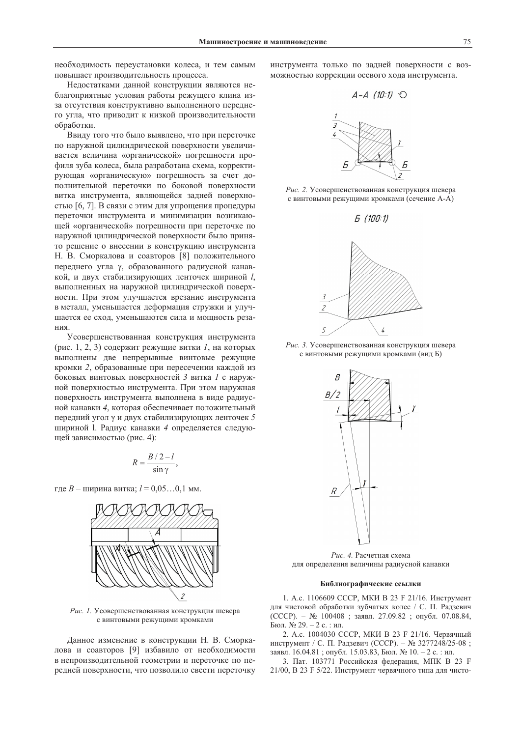необходимость переустановки колеса, и тем самым повышает производительность процесса.

Недостатками данной конструкции являются неблагоприятные условия работы режущего клина изза отсутствия конструктивно выполненного переднего угла, что приводит к низкой производительности обработки.

Ввилу того что было выявлено, что при переточке по наружной цилиндрической поверхности увеличивается величина «органической» погрешности профиля зуба колеса, была разработана схема, корректирующая «органическую» погрешность за счет дополнительной переточки по боковой поверхности витка инструмента, являющейся задней поверхностью [6, 7]. В связи с этим для упрощения процедуры переточки инструмента и минимизации возникающей «органической» погрешности при переточке по наружной цилиндрической поверхности было принято решение о внесении в конструкцию инструмента Н. В. Сморкалова и соавторов [8] положительного переднего угла у, образованного радиусной канавкой, и двух стабилизирующих ленточек шириной  $l$ , выполненных на наружной цилиндрической поверхности. При этом улучшается врезание инструмента в металл, уменьшается деформация стружки и улучшается ее сход, уменьшаются сила и мощность резания

Усовершенствованная конструкция инструмента (рис. 1, 2, 3) содержит режущие витки 1, на которых выполнены две непрерывные винтовые режущие кромки 2, образованные при пересечении каждой из боковых винтовых поверхностей 3 витка 1 с наружной поверхностью инструмента. При этом наружная поверхность инструмента выполнена в виде радиусной канавки 4, которая обеспечивает положительный передний угол у и двух стабилизирующих ленточек 5 шириной 1. Радиус канавки 4 определяется следующей зависимостью (рис. 4):

$$
R = \frac{B/2 - l}{\sin \gamma},
$$

где  $B$  – ширина витка;  $l = 0.05...0.1$  мм.



Рис. 1. Усовершенствованная конструкция шевера с винтовыми режущими кромками

Данное изменение в конструкции Н. В. Сморкалова и соавторов [9] избавило от необходимости в непроизводительной геометрии и переточке по передней поверхности, что позволило свести переточку инструмента только по задней поверхности с возможностью коррекции осевого хода инструмента.



Рис. 2. Усовершенствованная конструкция шевера с винтовыми режущими кромками (сечение А-А)





Рис. 3. Усовершенствованная конструкция шевера с винтовыми режущими кромками (вид Б)



Рис. 4. Расчетная схема для определения величины радиусной канавки

#### Библиографические ссылки

1. А.с. 1106609 СССР, МКИ В 23 Ғ 21/16. Инструмент для чистовой обработки зубчатых колес / С. П. Радзевич (СССР). - № 100408; заявл. 27.09.82; опубл. 07.08.84, Бюл. № 29. – 2 с. : ил.

2. А.с. 1004030 СССР, МКИ В 23 Ғ 21/16. Червячный инструмент / С. П. Радзевич (СССР). - № 3277248/25-08; заявл. 16.04.81; опубл. 15.03.83, Бюл. № 10. - 2 с.: ил.

3. Пат. 103771 Российская федерация, МПК В 23 F 21/00, В 23 Ғ 5/22. Инструмент червячного типа для чисто-